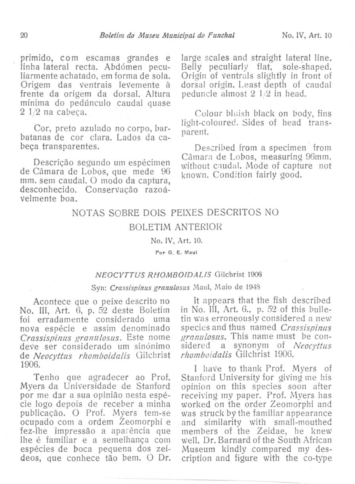primido, COm escamas grandes e linha lateral recta. Abdómen peculiarmente achatado, em forma de sola. Origem das ventrais levemente à frente da origem da dorsal. Altura mínima do pedúnculo caudal quase 2 1/2 na cabeça.

Cor, preto azulado no corpo, barbatanas de cor clara. Lados da cabeça transparentes.

Descrição segundo um espécimen de Câmara de Lobos, que mede 96<br>mm. sem caudal. O modo da captura. desconhecido. Conservação razoávelmente boa. '

large scales and straight lateral line. Belly peculiarly flat, sole-shaped. Origin of ventraIs slightly in front of dorsal origin. Least depth of caudal redunde almost 2 1/2 in head.

Colour bluish black on body, fins light-coloured. Sides of head transparent.

Described from a specimen from Câmara de Lobos, measuring 9Gmm. without caudal. Mode of capture not known. Condition fairly good.

# NOTAS SOBRE DOIS PEIXES DESCRITOS NO BOLETIM ANTERIOR

No. IV, Art. 10.

Por O. E. Maul

### *NEOCYTTUS R.HOMBOIDALlS* GiJchrist 1906

## Syn: Crassispinus granulosus Maul, Maio de 1948

No. III, Art. 6, p. 52 deste Boletim in No. III, Art. 6., p. 52 of this bulle-<br>foi erradamente considerado uma tin was erroneously considered a new foi erradamente considerado uma tin was erroneously considered a new<br>nova espécie e assim denominado species and thus named *Crassispinus* nova espécie e assim denominado species and thus named *Crassispinus*<br>Crassispinus granulosus, Este nome *granulosus*. This name must be con-*Crassispinus granulosus.* Este nome *deve ser considerado um sinónimo* de *Neocyttlls rhomboidalis* Gi1christ *rhomboidalis* Gilchrist 1906.

Myers da Universidade de Stanford<br>por me dar a sua opinião nesta espécie logo depois de receber a minha worked on the order Zeomorphi and publicação. O Prof. Myers tem-se was struck by the familiar appearance publicação. O Prof. Myers tem-se was struck by the familiar appearance ocupado com a ordem Zeomorphi e and similarity with small-mouthed fez-lhe impressão a aparência que members of the Zeidae, he knew<br>lhe é familiar e a semelhanca com well. Dr. Barnard of the South African lhe é familiar e a semelhanca com well. Dr. Barnard of the South African espécies de boca pequena dos zeí-<br>deos, que conhece tão bem. O Dr.

Acontece que o peixe descrito no lt appears that the fish described<br>III. Art. 6, p. 52 deste Boletim in No. III, Art. 6, p. 52 of this bullesidered a synonym of *Neocyttus*<br>*rhomboidalis* Gilchrist 1906.

0.<br>I have to thank Prof. Myers of<br>Tenho que agradecer ao Prof. Stanford University for giving me his Stanford University for giving me his<br>opinion on this species soon after receiving my paper. Prof. Myers has<br>worked on the order Zeomorphi and cription and figure with the co-type.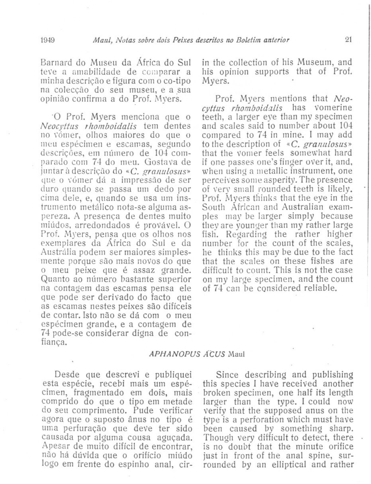Barnard do Museu da África do Sul teve a amabilidade de comparar a minha descrição e figura com oco-tipo na colecção do seu museu, e a sua opinião confirma a do Prof. Myers.

'0 Prof. Myers menciona que o Neocyttus rhomboidalis tem dentes no vómer, olhos maiores do que o meu espécimen e escamas, segundo descrições, em número de 104 comparado com 74 do meu. Gostava de juntar à descrição do «C. granulosus» que o vómer dá a impressão de ser duro quando se passa um dedo por cima dele, e, quando se usa um instrumento metálico nota-se alguma aspereza. A presença de dentes muito  $mido$ s, arredondados é provável. O Prof. Myers, pensa que os olhos nos exemplares da África do Sul e da Austrália podem ser maiores simplesmente porque são mais novos do que o meu peixe que é assaz grande. Quanto ao número bastante superior na contagem das escamas pensa ele que pode ser derivado do facto que as escamas nestes peixes são difíceis de contar. Isto não se dá com o meu espécimen grande, e a contagem de 74 pode-se considerar digna de confiança.

in the collection of bis Museum, and his opinion supports that of Prof. Myers.

Prof. Myers mentions that *Neocyttus rhomboidalis* has vomerine teeth, a larger eye than my specimen and scales said to number about 104 compared to 74 in mine. I may add to the description of *«C. granulosus»* that the vomer feels somewhat hard if one passes one's finger over it, and, when using a metallic instrument, one perceives some asperity. The presence of very small rounded teeth is likely. Prof. Myers thinks that the eye in the South African and Australian examples may be larger simply because they are younger than my rather large fish. Regarding the rather higher riumber for the count of the scales, he thinks this may be due to the fact that the scales on these fishes are difficult to count. This is not the case on my large specimen, and the count of 74 can be considered reliable.

## *APHANOPUS M::US* Mau!

Desde que descrevi e publiquei esta espécie, recebi mais um espécimen, fragmentado em dois, mais comprido do que o tipo em metade do seu comprimento. Pude verificar agora que o suposto ânus no tipo é uma perfuração que deve ter sido causada por alguma cousa aguçada. Apesar de muito difícil de encontrar, não há dúvida que o orifício miúdo logo em frente do espinho anal, cir-

Since describing and publishing this species I have received another broken specimen, one half its length larger than the type. I could now verify that the supposed anus on the type is a perforation which must have been caused by something sharp. Though very difficult to detect, there is no doubt that the minute orifice just in front of the anal spine, surrounded by an elliptical and rather